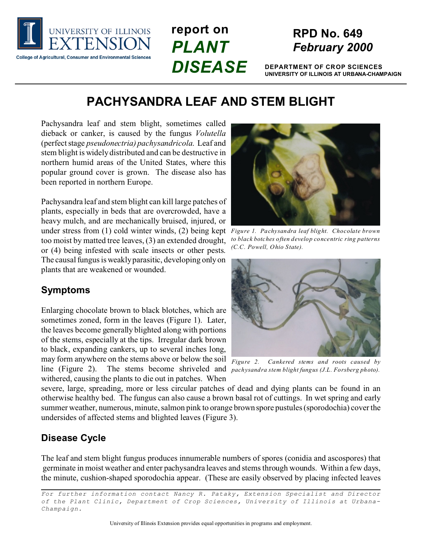

# **report on** *PLANT DISEASE*

### **RPD No. 649** *February 2000*

**DEPARTMENT OF CROP SCIENCES UNIVERSITY OF ILLINOIS AT URBANA-CHAMPAIGN**

## **PACHYSANDRA LEAF AND STEM BLIGHT**

Pachysandra leaf and stem blight, sometimes called dieback or canker, is caused by the fungus *Volutella* (perfect stage *pseudonectria) pachysandricola*. Leaf and stem blight is widely distributed and can be destructive in northern humid areas of the United States, where this popular ground cover is grown. The disease also has been reported in northern Europe.

*Figure 1. Pachysandra leaf blight. Chocolate brown* under stress from (1) cold winter winds, (2) being kept Pachysandra leaf and stem blight can kill large patches of plants, especially in beds that are overcrowded, have a heavy mulch, and are mechanically bruised, injured, or too moist by matted tree leaves, (3) an extended drought, or (4) being infested with scale insects or other pests. The causal fungus is weakly parasitic, developing only on plants that are weakened or wounded.

### **Symptoms**

line (Figure 2). The stems become shriveled and *pachysandra stem blight fungus (J.L. Forsberg photo)*. Enlarging chocolate brown to black blotches, which are sometimes zoned, form in the leaves (Figure 1). Later, the leaves become generally blighted along with portions of the stems, especially at the tips. Irregular dark brown to black, expanding cankers, up to several inches long, may form anywhere on the stems above or below the soil withered, causing the plants to die out in patches. When



*to black botches often develop concentric ring patterns (C.C. Powell, Ohio State).*



*Figure 2. Cankered stems and roots caused by*

severe, large, spreading, more or less circular patches of dead and dying plants can be found in an otherwise healthy bed. The fungus can also cause a brown basal rot of cuttings. In wet spring and early summer weather, numerous, minute, salmon pink to orange brown spore pustules (sporodochia) cover the undersides of affected stems and blighted leaves (Figure 3).

### **Disease Cycle**

The leaf and stem blight fungus produces innumerable numbers of spores (conidia and ascospores) that germinate in moist weather and enter pachysandra leaves and stems through wounds. Within a few days, the minute, cushion-shaped sporodochia appear. (These are easily observed by placing infected leaves

*For further information contact Nancy R. Pataky, Extension Specialist and Director of the Plant Clinic, Department of Crop Sciences, University of Illinois at Urbana-Champaign.*